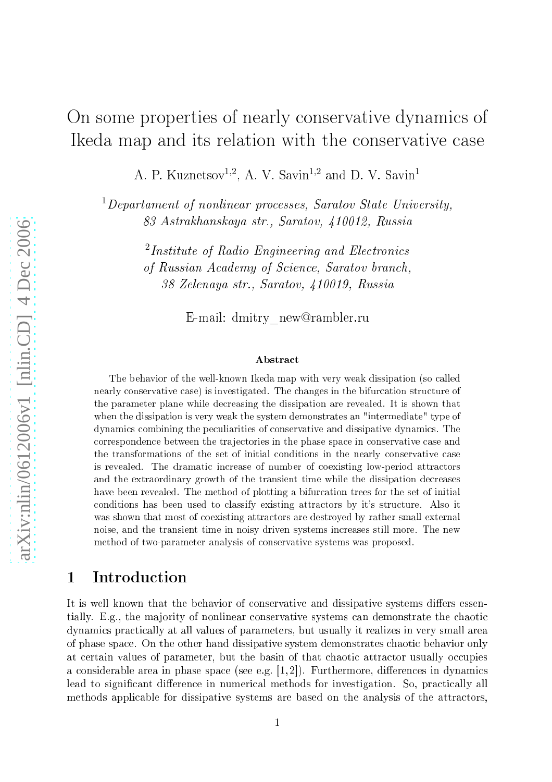# On some properties of nearly onservative dynami
s of I keda map and its relation with the conservative case

A. P. Kuznetsov<sup>1,2</sup>, A. V. Savin<sup>1,2</sup> and D. V. Savin<sup>1</sup>

 $1$ Departament of nonlinear processes, Saratov State University, 83 Astrakhanskaya str., Saratov, 410012, Russia

> $^{2}Institute of Radio Engineering and Electronics$ of Russian A
> ademy of S
> ien
> e, Saratov bran
> h, 38 Zelenaya str., Saratov, 410019, Russia

> > E-mail: dmitry\_new@rambler.ru

### **Abstract**

The behavior of the well-known Ikeda map with very weak dissipation (so alled nearly conservative case) is investigated. The changes in the bifurcation structure of the parameter plane while de
reasing the dissipation are revealed. It is shown that when the dissipation is very weak the system demonstrates an "intermediate" type of dynami
s ombining the pe
uliarities of onservative and dissipative dynami
s. The correspondence between the trajectories in the phase space in conservative case and the transformations of the set of initial conditions in the nearly conservative case is revealed. The dramatic increase of number of coexisting low-period attractors and the extraordinary growth of the transient time while the dissipation de
reases have been revealed. The method of plotting a bifurcation trees for the set of initial conditions has been used to classify existing attractors by it's structure. Also it was shown that most of coexisting attractors are destroyed by rather small external noise, and the transient time in noisy driven systems in
reases still more. The new method of two-parameter analysis of onservative systems was proposed.

## 1 Introduction

It is well known that the behavior of conservative and dissipative systems differs essentially. E.g., the majority of nonlinear conservative systems can demonstrate the chaotic dynamics practically at all values of parameters, but usually it realizes in very small area of phase spa
e. On the other hand dissipative system demonstrates haoti behavior only at certain values of parameter, but the basin of that chaotic attractor usually occupies a considerable area in phase space (see e.g.  $[1, 2]$ ). Furthermore, differences in dynamics lead to significant difference in numerical methods for investigation. So, practically all methods applicable for dissipative systems are based on the analysis of the attractors,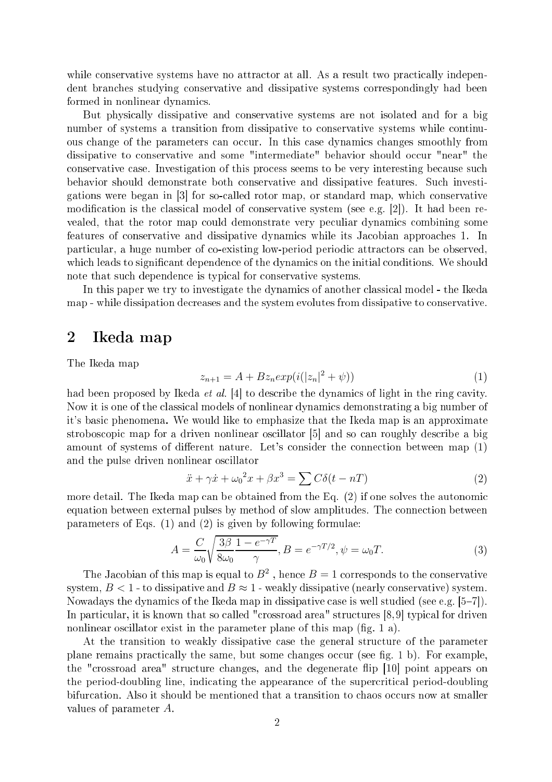while conservative systems have no attractor at all. As a result two practically independent bran
hes studying onservative and dissipative systems orrespondingly had been formed in nonlinear dynami
s.

But physi
ally dissipative and onservative systems are not isolated and for a big number of systems a transition from dissipative to onservative systems while ontinuous change of the parameters can occur. In this case dynamics changes smoothly from dissipative to conservative and some "intermediate" behavior should occur "near" the conservative case. Investigation of this process seems to be very interesting because such behavior should demonstrate both onservative and dissipative features. Su
h investigations were began in [3] for so-called rotor map, or standard map, which conservative modification is the classical model of conservative system (see e.g. [2]). It had been revealed, that the rotor map ould demonstrate very pe
uliar dynami
s ombining some features of conservative and dissipative dynamics while its Jacobian approaches 1. In particular, a huge number of co-existing low-period periodic attractors can be observed, which leads to significant dependence of the dynamics on the initial conditions. We should note that su
h dependen
e is typi
al for onservative systems.

In this paper we try to investigate the dynamics of another classical model - the Ikeda map - while dissipation decreases and the system evolutes from dissipative to conservative.

### <sup>2</sup> Ikeda map

The Ikeda map

$$
z_{n+1} = A + Bz_n \exp(i(|z_n|^2 + \psi))
$$
\n(1)

had been proposed by Ikeda *et al.* [4] to describe the dynamics of light in the ring cavity. Now it is one of the lassi
al models of nonlinear dynami
s demonstrating a big number of it's basi phenomena. We would like to emphasize that the Ikeda map is an approximate stroboscopic map for a driven nonlinear oscillator [5] and so can roughly describe a big amount of systems of different nature. Let's consider the connection between map (1) and the pulse driven nonlinear os
illator

$$
\ddot{x} + \gamma \dot{x} + \omega_0^2 x + \beta x^3 = \sum C \delta(t - nT) \tag{2}
$$

more detail. The Ikeda map can be obtained from the Eq.  $(2)$  if one solves the autonomic equation between external pulses by method of slow amplitudes. The connection between parameters of Eqs. (1) and (2) is given by following formulae:

$$
A = \frac{C}{\omega_0} \sqrt{\frac{3\beta}{8\omega_0} \frac{1 - e^{-\gamma T}}{\gamma}}, B = e^{-\gamma T/2}, \psi = \omega_0 T.
$$
 (3)

The Jacobian of this map is equal to  $B^2$ , hence  $B=1$  corresponds to the conservative system,  $B < 1$  - to dissipative and  $B \approx 1$  - weakly dissipative (nearly conservative) system. Nowadays the dynamics of the Ikeda map in dissipative case is well studied (see e.g.  $[5-7]$ ). In particular, it is known that so called "crossroad area" structures [8,9] typical for driven nonlinear oscillator exist in the parameter plane of this map (fig. 1 a).

At the transition to weakly dissipative ase the general stru
ture of the parameter plane remains practically the same, but some changes occur (see fig. 1 b). For example, the "crossroad area" structure changes, and the degenerate flip [10] point appears on the period-doubling line, indicating the appearance of the supercritical period-doubling bifurcation. Also it should be mentioned that a transition to chaos occurs now at smaller values of parameter A.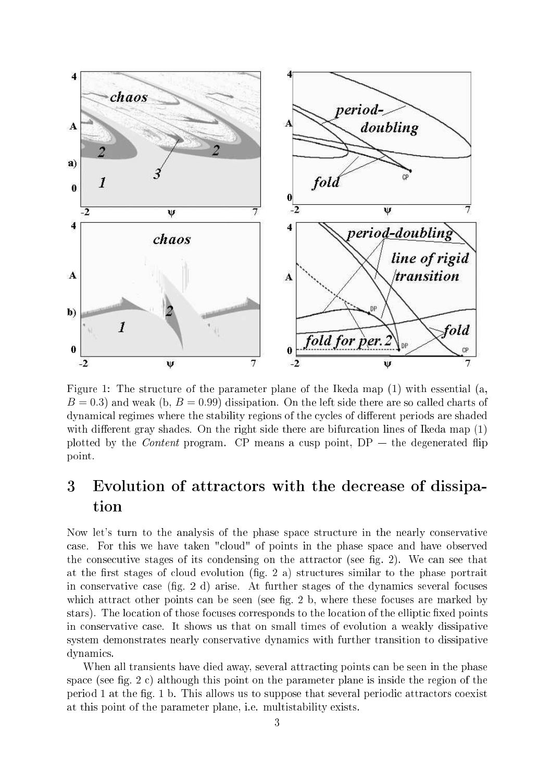

Figure 1: The structure of the parameter plane of the Ikeda map (1) with essential (a,  $B = 0.3$ ) and weak (b,  $B = 0.99$ ) dissipation. On the left side there are so called charts of dynamical regimes where the stability regions of the cycles of different periods are shaded with different gray shades. On the right side there are bifurcation lines of Ikeda map  $(1)$ plotted by the *Content* program. CP means a cusp point,  $DP -$  the degenerated flip point.

### Evolution of attractors with the decrease of dissipa-3 tion

Now let's turn to the analysis of the phase space structure in the nearly conservative case. For this we have taken "cloud" of points in the phase space and have observed the consecutive stages of its condensing on the attractor (see fig. 2). We can see that at the first stages of cloud evolution (fig. 2 a) structures similar to the phase portrait in conservative case  $(fig, 2 d)$  arise. At further stages of the dynamics several focuses which attract other points can be seen (see fig. 2 b, where these focuses are marked by stars). The location of those focuses corresponds to the location of the elliptic fixed points in onservative ase. It shows us that on small times of evolution a weakly dissipative system demonstrates nearly onservative dynami
s with further transition to dissipative dynami
s.

When all transients have died away, several attracting points can be seen in the phase space (see fig. 2 c) although this point on the parameter plane is inside the region of the period 1 at the fig. 1 b. This allows us to suppose that several periodic attractors coexist at this point of the parameter plane, i.e. multistability exists.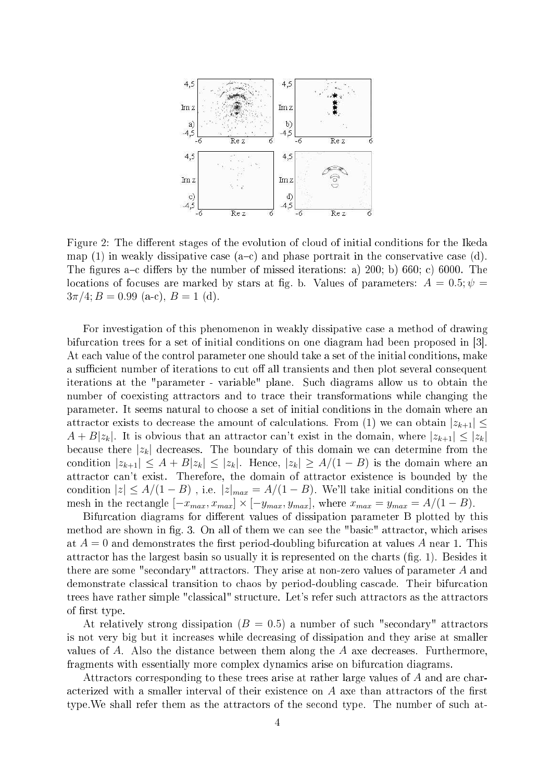

Figure 2: The different stages of the evolution of cloud of initial conditions for the Ikeda map (1) in weakly dissipative case  $(a-c)$  and phase portrait in the conservative case (d). The figures a-c differs by the number of missed iterations: a)  $200$ ; b)  $660$ ; c)  $6000$ . The locations of focuses are marked by stars at fig. b. Values of parameters:  $A = 0.5$ ;  $\psi =$  $3\pi/4$ ;  $B = 0.99$  (a-c),  $B = 1$  (d).

For investigation of this phenomenon in weakly dissipative case a method of drawing bifurcation trees for a set of initial conditions on one diagram had been proposed in [3]. At each value of the control parameter one should take a set of the initial conditions, make a sufficient number of iterations to cut off all transients and then plot several consequent iterations at the "parameter - variable" plane. Su
h diagrams allow us to obtain the number of coexisting attractors and to trace their transformations while changing the parameter. It seems natural to hoose a set of initial onditions in the domain where an attractor exists to decrease the amount of calculations. From (1) we can obtain  $|z_{k+1}| <$  $A + B|z_k|$ . It is obvious that an attractor can't exist in the domain, where  $|z_{k+1}| \leq |z_k|$ because there  $|z_k|$  decreases. The boundary of this domain we can determine from the condition  $|z_{k+1}| \leq A + B|z_k| \leq |z_k|$ . Hence,  $|z_k| \geq A/(1-B)$  is the domain where an attractor can't exist. Therefore, the domain of attractor existence is bounded by the condition  $|z| \leq A/(1-B)$ , i.e.  $|z|_{max} = A/(1-B)$ . We'll take initial conditions on the mesh in the rectangle  $[-x_{max}, x_{max}] \times [-y_{max}, y_{max}]$ , where  $x_{max} = y_{max} = A/(1 - B)$ .

Bifurcation diagrams for different values of dissipation parameter B plotted by this method are shown in fig. 3. On all of them we can see the "basic" attractor, which arises at  $A = 0$  and demonstrates the first period-doubling bifurcation at values A near 1. This attractor has the largest basin so usually it is represented on the charts (fig. 1). Besides it there are some "secondary" attractors. They arise at non-zero values of parameter A and demonstrate classical transition to chaos by period-doubling cascade. Their bifurcation trees have rather simple "classical" structure. Let's refer such attractors as the attractors of first type.

At relatively strong dissipation  $(B = 0.5)$  a number of such "secondary" attractors is not very big but it in
reases while de
reasing of dissipation and they arise at smaller values of A. Also the distance between them along the A axe decreases. Furthermore, fragments with essentially more omplex dynami
s arise on bifur
ation diagrams.

Attractors corresponding to these trees arise at rather large values of A and are characterized with a smaller interval of their existence on A axe than attractors of the first type. We shall refer them as the attractors of the second type. The number of such at-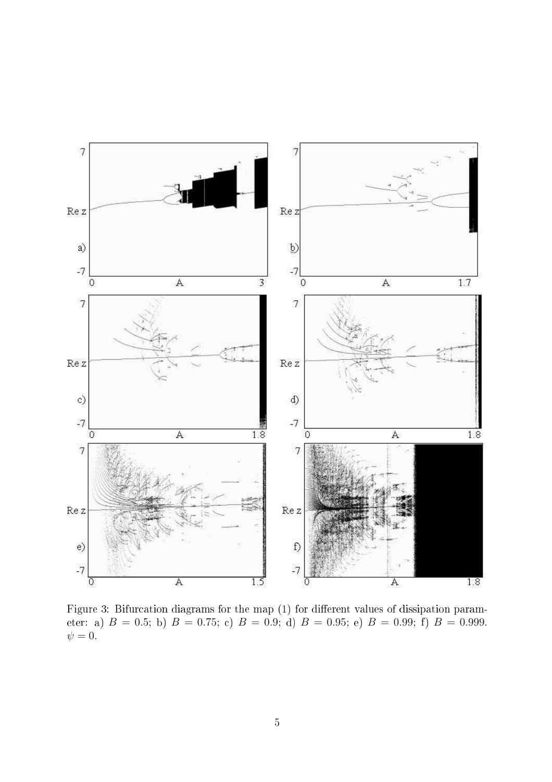

Figure 3: Bifurcation diagrams for the map (1) for different values of dissipation parameter: a)  $B = 0.5$ ; b)  $B = 0.75$ ; c)  $B = 0.9$ ; d)  $B = 0.95$ ; e)  $B = 0.99$ ; f)  $B = 0.999$ .  $\psi = 0.$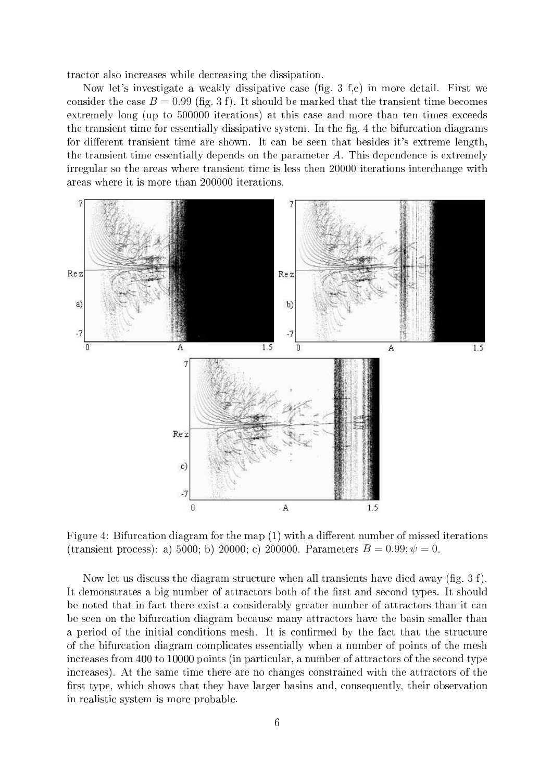tractor also increases while decreasing the dissipation.

Now let's investigate a weakly dissipative case (fig. 3 f,e) in more detail. First we consider the case  $B = 0.99$  (fig. 3 f). It should be marked that the transient time becomes extremely long (up to 500000 iterations) at this case and more than ten times exceeds the transient time for essentially dissipative system. In the fig. 4 the bifurcation diagrams for different transient time are shown. It can be seen that besides it's extreme length, the transient time essentially depends on the parameter  $A$ . This dependence is extremely irregular so the areas where transient time is less then 20000 iterations inter
hange with areas where it is more than 200000 iterations.



Figure 4: Bifurcation diagram for the map (1) with a different number of missed iterations (transient process): a) 5000; b) 20000; c) 200000. Parameters  $B = 0.99$ ;  $\psi = 0$ .

Now let us discuss the diagram structure when all transients have died away (fig.  $3 f$ ). It demonstrates a big number of attractors both of the first and second types. It should be noted that in fact there exist a considerably greater number of attractors than it can be seen on the bifur
ation diagram be
ause many attra
tors have the basin smaller than a period of the initial conditions mesh. It is confirmed by the fact that the structure of the bifur
ation diagram ompli
ates essentially when a number of points of the mesh increases from 400 to 10000 points (in particular, a number of attractors of the second type increases). At the same time there are no changes constrained with the attractors of the first type, which shows that they have larger basins and, consequently, their observation in realistic system is more probable.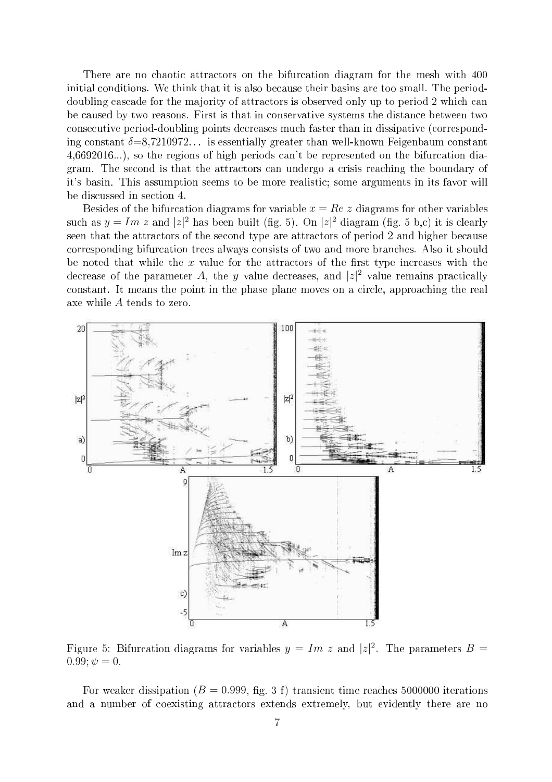There are no chaotic attractors on the bifurcation diagram for the mesh with 400 initial conditions. We think that it is also because their basins are too small. The perioddoubling cascade for the majority of attractors is observed only up to period 2 which can be caused by two reasons. First is that in conservative systems the distance between two onse
utive period-doubling points de
reases mu
h faster than in dissipative (
orresponding constant  $\delta = 8.7210972...$  is essentially greater than well-known Feigenbaum constant 4,6692016...), so the regions of high periods an't be represented on the bifur
ation diagram. The se
ond is that the attra
tors an undergo a risis rea
hing the boundary of it's basin. This assumption seems to be more realistic; some arguments in its favor will be dis
ussed in se
tion 4.

Besides of the bifurcation diagrams for variable  $x = Re\ z$  diagrams for other variables such as  $y = Im z$  and  $|z|^2$  has been built (fig. 5). On  $|z|^2$  diagram (fig. 5 b,c) it is clearly seen that the attractors of the second type are attractors of period 2 and higher because orresponding bifur
ation trees always onsists of two and more bran
hes. Also it should be noted that while the x value for the attractors of the first type increases with the decrease of the parameter A, the y value decreases, and  $|z|^2$  value remains practically constant. It means the point in the phase plane moves on a circle, approaching the real axe while A tends to zero.



Figure 5: Bifurcation diagrams for variables  $y = Im z$  and  $|z|^2$ . The parameters  $B =$  $0.99; \psi = 0.$ 

For weaker dissipation ( $B = 0.999$ , fig. 3 f) transient time reaches 5000000 iterations and a number of coexisting attractors extends extremely, but evidently there are no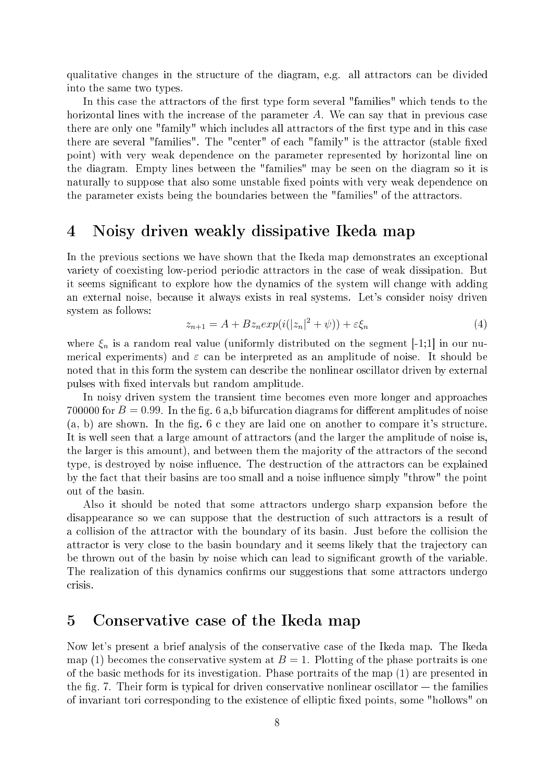qualitative hanges in the stru
ture of the diagram, e.g. all attra
tors an be divided into the same two types.

In this case the attractors of the first type form several "families" which tends to the horizontal lines with the increase of the parameter  $A$ . We can say that in previous case there are only one "family" which includes all attractors of the first type and in this case there are several "families". The "center" of each "family" is the attractor (stable fixed point) with very weak dependen
e on the parameter represented by horizontal line on the diagram. Empty lines between the "families" may be seen on the diagram so it is naturally to suppose that also some unstable fixed points with very weak dependence on the parameter exists being the boundaries between the "families" of the attractors.

### <sup>4</sup> Noisy driven weakly dissipative Ikeda map

In the previous sections we have shown that the Ikeda map demonstrates an exceptional variety of oexisting low-period periodi attra
tors in the ase of weak dissipation. But it seems significant to explore how the dynamics of the system will change with adding an external noise, be
ause it always exists in real systems. Let's onsider noisy driven system as follows:

$$
z_{n+1} = A + Bz_n \exp(i(|z_n|^2 + \psi)) + \varepsilon \xi_n \tag{4}
$$

where  $\xi_n$  is a random real value (uniformly distributed on the segment [-1;1] in our numerical experiments) and  $\varepsilon$  can be interpreted as an amplitude of noise. It should be noted that in this form the system can describe the nonlinear oscillator driven by external pulses with fixed intervals but random amplitude.

In noisy driven system the transient time becomes even more longer and approaches 700000 for  $B = 0.99$ . In the fig. 6 a,b bifurcation diagrams for different amplitudes of noise  $(a, b)$  are shown. In the fig. 6 c they are laid one on another to compare it's structure. It is well seen that a large amount of attra
tors (and the larger the amplitude of noise is, the larger is this amount), and between them the majority of the attractors of the second type, is destroyed by noise influence. The destruction of the attractors can be explained by the fact that their basins are too small and a noise influence simply "throw" the point out of the basin.

Also it should be noted that some attra
tors undergo sharp expansion before the disappearance so we can suppose that the destruction of such attractors is a result of a collision of the attractor with the boundary of its basin. Just before the collision the attractor is very close to the basin boundary and it seems likely that the trajectory can be thrown out of the basin by noise which can lead to significant growth of the variable. The realization of this dynamics confirms our suggestions that some attractors undergo crisis.

### <sup>5</sup> Conservative ase of the Ikeda map

Now let's present a brief analysis of the onservative ase of the Ikeda map. The Ikeda map (1) becomes the conservative system at  $B = 1$ . Plotting of the phase portraits is one of the basi methods for its investigation. Phase portraits of the map (1) are presented in the fig. 7. Their form is typical for driven conservative nonlinear oscillator  $-$  the families of invariant tori corresponding to the existence of elliptic fixed points, some "hollows" on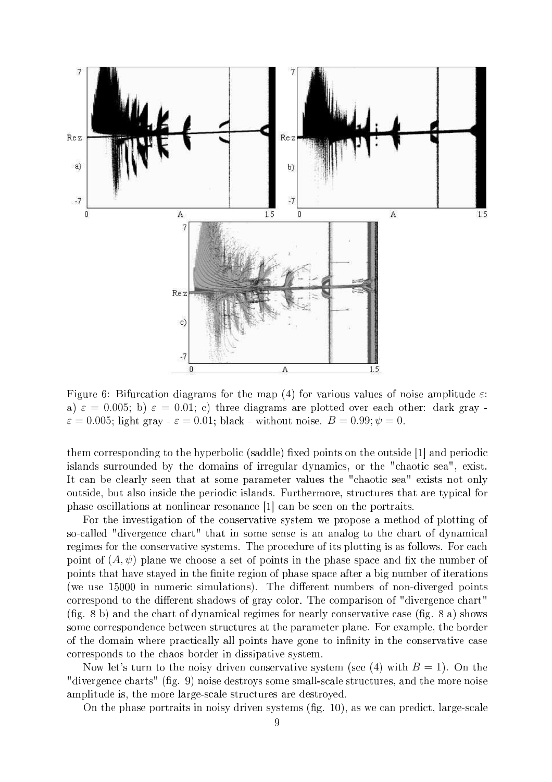

Figure 6: Bifurcation diagrams for the map (4) for various values of noise amplitude  $\varepsilon$ : a)  $\varepsilon = 0.005$ ; b)  $\varepsilon = 0.01$ ; c) three diagrams are plotted over each other: dark gray - $\varepsilon = 0.005$ ; light gray  $-\varepsilon = 0.01$ ; black - without noise.  $B = 0.99$ ;  $\psi = 0$ .

them corresponding to the hyperbolic (saddle) fixed points on the outside [1] and periodic islands surrounded by the domains of irregular dynamics, or the "chaotic sea", exist. It can be clearly seen that at some parameter values the "chaotic sea" exists not only outside, but also inside the periodic islands. Furthermore, structures that are typical for phase oscillations at nonlinear resonance [1] can be seen on the portraits.

For the investigation of the onservative system we propose a method of plotting of so-called "divergence chart" that in some sense is an analog to the chart of dynamical regimes for the conservative systems. The procedure of its plotting is as follows. For each point of  $(A, \psi)$  plane we choose a set of points in the phase space and fix the number of points that have stayed in the finite region of phase space after a big number of iterations (we use 15000 in numeric simulations). The different numbers of non-diverged points correspond to the different shadows of gray color. The comparison of "divergence chart"  $(fig. 8 b)$  and the chart of dynamical regimes for nearly conservative case  $(fig. 8 a)$  shows some correspondence between structures at the parameter plane. For example, the border of the domain where practically all points have gone to infinity in the conservative case orresponds to the haos border in dissipative system.

Now let's turn to the noisy driven conservative system (see (4) with  $B = 1$ ). On the "divergence charts" (fig. 9) noise destroys some small-scale structures, and the more noise amplitude is, the more large-scale structures are destroyed.

On the phase portraits in noisy driven systems (fig.  $10$ ), as we can predict, large-scale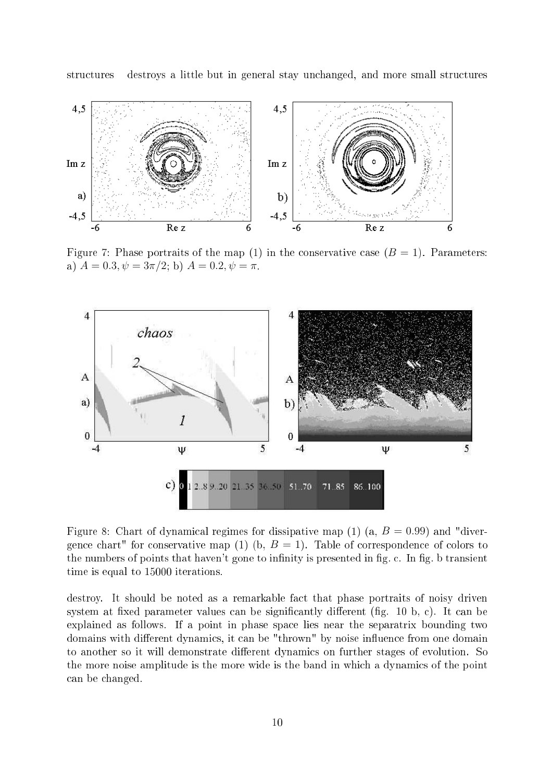structures destroys a little but in general stay unchanged, and more small structures



Figure 7: Phase portraits of the map (1) in the conservative case  $(B = 1)$ . Parameters: a)  $A = 0.3, \psi = 3\pi/2$ ; b)  $A = 0.2, \psi = \pi$ .



Figure 8: Chart of dynamical regimes for dissipative map (1) (a,  $B = 0.99$ ) and "divergence chart" for conservative map (1) (b,  $B = 1$ ). Table of correspondence of colors to the numbers of points that haven't gone to infinity is presented in fig. c. In fig. b transient time is equal to 15000 iterations.

destroy. It should be noted as a remarkable fact that phase portraits of noisy driven system at fixed parameter values can be significantly different (fig. 10 b, c). It can be explained as follows. If a point in phase spa
e lies near the separatrix bounding two domains with different dynamics, it can be "thrown" by noise influence from one domain to another so it will demonstrate different dynamics on further stages of evolution. So the more noise amplitude is the more wide is the band in which a dynamics of the point an be hanged.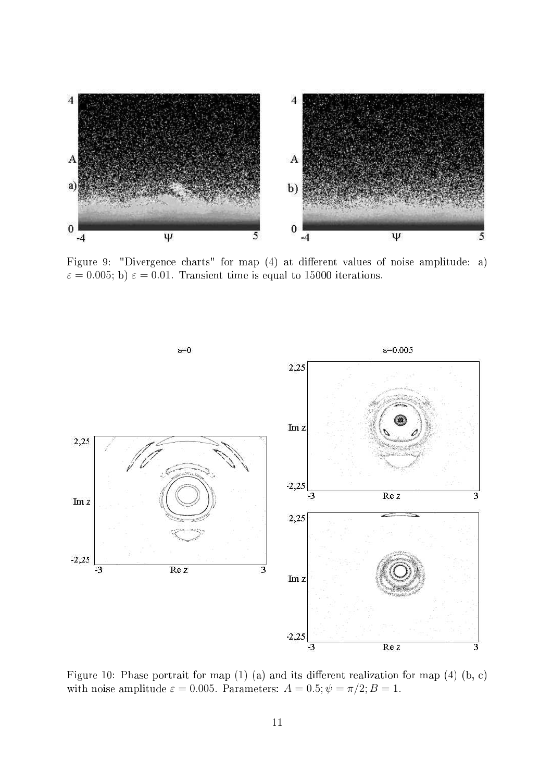

Figure 9: "Divergence charts" for map (4) at different values of noise amplitude: a)  $\varepsilon = 0.005$ ; b)  $\varepsilon = 0.01$ . Transient time is equal to 15000 iterations.



Figure 10: Phase portrait for map  $(1)$   $(a)$  and its different realization for map  $(4)$   $(b, c)$ with noise amplitude  $\varepsilon = 0.005$ . Parameters:  $A = 0.5; \psi = \pi/2; B = 1$ .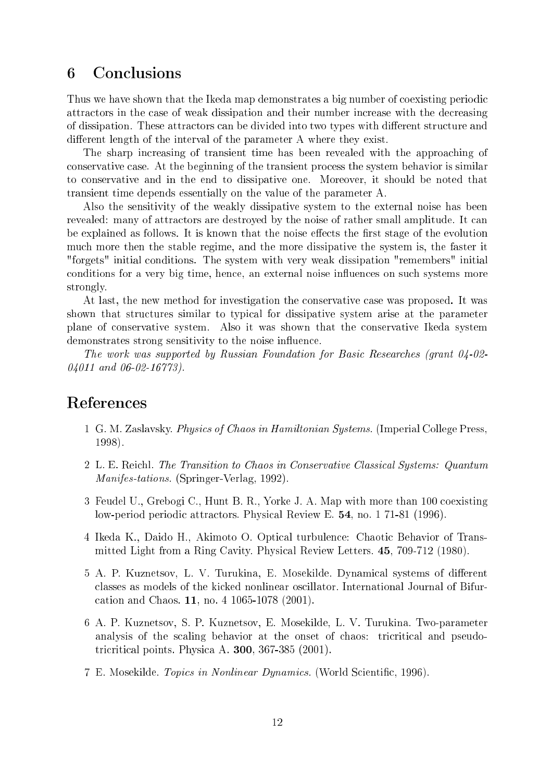#### **Conclusions** 6

Thus we have shown that the Ikeda map demonstrates a big number of coexisting periodic attractors in the case of weak dissipation and their number increase with the decreasing of dissipation. These attractors can be divided into two types with different structure and different length of the interval of the parameter A where they exist.

The sharp increasing of transient time has been revealed with the approaching of onservative ase. At the beginning of the transient pro
ess the system behavior is similar to onservative and in the end to dissipative one. Moreover, it should be noted that transient time depends essentially on the value of the parameter A.

Also the sensitivity of the weakly dissipative system to the external noise has been revealed: many of attractors are destroyed by the noise of rather small amplitude. It can be explained as follows. It is known that the noise effects the first stage of the evolution mu
h more then the stable regime, and the more dissipative the system is, the faster it "forgets" initial onditions. The system with very weak dissipation "remembers" initial conditions for a very big time, hence, an external noise influences on such systems more strongly.

At last, the new method for investigation the conservative case was proposed. It was shown that structures similar to typical for dissipative system arise at the parameter plane of onservative system. Also it was shown that the onservative Ikeda system demonstrates strong sensitivity to the noise influence.

The work was supported by Russian Foundation for Basi Resear
hes (grant 04-02- 04011 and 06-02-16773).

## Referen
es

- 1 G. M. Zaslavsky. Physi
s of Chaos in Hamiltonian Systems. (Imperial College Press, 1998).
- 2 L. E. Reichl. The Transition to Chaos in Conservative Classical Systems: Quantum Manifes-tations. (Springer-Verlag, 1992).
- 3 Feudel U., Grebogi C., Hunt B. R., Yorke J. A. Map with more than 100 oexisting low-period periodic attractors. Physical Review E. 54, no. 1 71-81 (1996).
- 4 Ikeda K., Daido H., Akimoto O. Opti
al turbulen
e: Chaoti Behavior of Transmitted Light from a Ring Cavity. Physi
al Review Letters. 45, 709-712 (1980).
- 5 A. P. Kuznetsov, L. V. Turukina, E. Mosekilde. Dynamical systems of different classes as models of the kicked nonlinear oscillator. International Journal of Bifuration and Chaos. 11, no. 4 1065-1078 (2001).
- 6 A. P. Kuznetsov, S. P. Kuznetsov, E. Mosekilde, L. V. Turukina. Two-parameter analysis of the scaling behavior at the onset of chaos: tricritical and pseudotri
riti
al points. Physi
a A. 300, 367-385 (2001).
- 7 E. Mosekilde. Topics in Nonlinear Dynamics. (World Scientific, 1996).